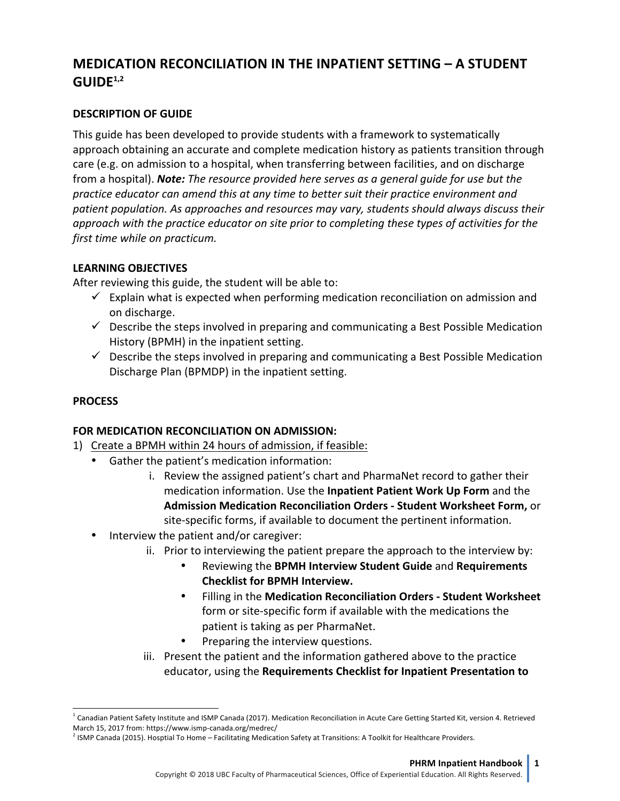# **MEDICATION RECONCILIATION IN THE INPATIENT SETTING – A STUDENT GUIDE1,2**

### **DESCRIPTION OF GUIDE**

This guide has been developed to provide students with a framework to systematically approach obtaining an accurate and complete medication history as patients transition through care (e.g. on admission to a hospital, when transferring between facilities, and on discharge from a hospital). **Note:** *The resource provided here serves as a general quide for use but the* practice educator can amend this at any time to better suit their practice environment and patient population. As approaches and resources may vary, students should always discuss their *approach* with the practice educator on site prior to completing these types of activities for the *first time while on practicum.* 

# **LEARNING OBJECTIVES**

After reviewing this guide, the student will be able to:

- $\checkmark$  Explain what is expected when performing medication reconciliation on admission and on discharge.
- $\checkmark$  Describe the steps involved in preparing and communicating a Best Possible Medication History (BPMH) in the inpatient setting.
- $\checkmark$  Describe the steps involved in preparing and communicating a Best Possible Medication Discharge Plan (BPMDP) in the inpatient setting.

### **PROCESS**

 $\overline{\phantom{a}}$ 

### **FOR MEDICATION RECONCILIATION ON ADMISSION:**

- 1) Create a BPMH within 24 hours of admission, if feasible:
	- Gather the patient's medication information:
		- i. Review the assigned patient's chart and PharmaNet record to gather their medication information. Use the **Inpatient Patient Work Up Form** and the **Admission Medication Reconciliation Orders - Student Worksheet Form,** or site-specific forms, if available to document the pertinent information.
	- Interview the patient and/or caregiver:
		- ii. Prior to interviewing the patient prepare the approach to the interview by:
			- **Reviewing the BPMH Interview Student Guide and Requirements Checklist for BPMH Interview.**
			- Filling in the Medication Reconciliation Orders Student Worksheet form or site-specific form if available with the medications the patient is taking as per PharmaNet.
			- Preparing the interview questions.
		- iii. Present the patient and the information gathered above to the practice **educator, using the Requirements Checklist for Inpatient Presentation to**

 $^1$  Canadian Patient Safety Institute and ISMP Canada (2017). Medication Reconciliation in Acute Care Getting Started Kit, version 4. Retrieved March 15, 2017 from: https://www.ismp-canada.org/medrec/

 $^2$  ISMP Canada (2015). Hosptial To Home – Facilitating Medication Safety at Transitions: A Toolkit for Healthcare Providers.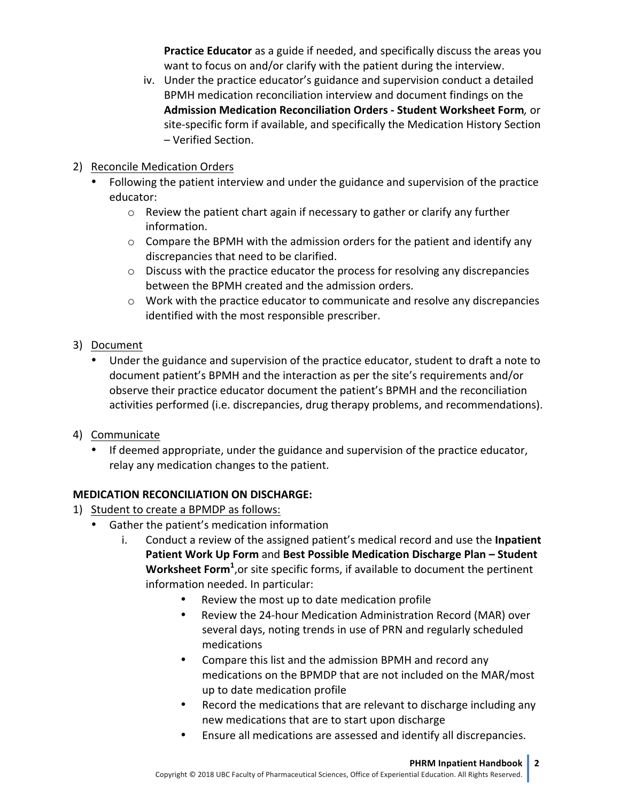**Practice Educator** as a guide if needed, and specifically discuss the areas you want to focus on and/or clarify with the patient during the interview.

- iv. Under the practice educator's guidance and supervision conduct a detailed BPMH medication reconciliation interview and document findings on the **Admission Medication Reconciliation Orders - Student Worksheet Form***,* or site-specific form if available, and specifically the Medication History Section – Verified Section.
- 2) Reconcile Medication Orders
	- Following the patient interview and under the guidance and supervision of the practice educator:
		- $\circ$  Review the patient chart again if necessary to gather or clarify any further information.
		- $\circ$  Compare the BPMH with the admission orders for the patient and identify any discrepancies that need to be clarified.
		- $\circ$  Discuss with the practice educator the process for resolving any discrepancies between the BPMH created and the admission orders.
		- $\circ$  Work with the practice educator to communicate and resolve any discrepancies identified with the most responsible prescriber.
- 3) Document
	- Under the guidance and supervision of the practice educator, student to draft a note to document patient's BPMH and the interaction as per the site's requirements and/or observe their practice educator document the patient's BPMH and the reconciliation activities performed (i.e. discrepancies, drug therapy problems, and recommendations).
- 4) Communicate
	- If deemed appropriate, under the guidance and supervision of the practice educator, relay any medication changes to the patient.

# **MEDICATION RECONCILIATION ON DISCHARGE:**

- 1) Student to create a BPMDP as follows:
	- Gather the patient's medication information
		- i. Conduct a review of the assigned patient's medical record and use the **Inpatient Patient Work Up Form and Best Possible Medication Discharge Plan – Student** Worksheet Form<sup>1</sup>, or site specific forms, if available to document the pertinent information needed. In particular:
			- Review the most up to date medication profile
			- Review the 24-hour Medication Administration Record (MAR) over several days, noting trends in use of PRN and regularly scheduled medications
			- Compare this list and the admission BPMH and record any medications on the BPMDP that are not included on the MAR/most up to date medication profile
			- Record the medications that are relevant to discharge including any new medications that are to start upon discharge
			- Ensure all medications are assessed and identify all discrepancies.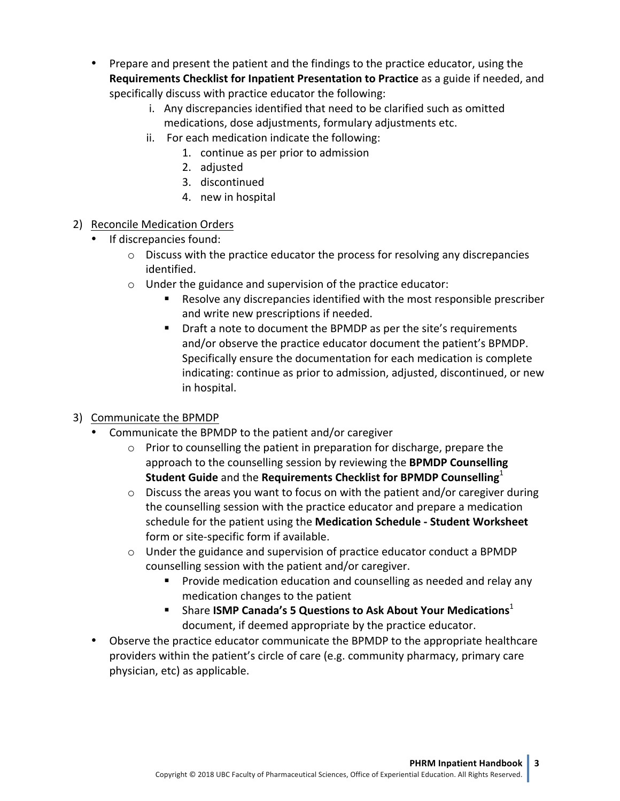- Prepare and present the patient and the findings to the practice educator, using the **Requirements Checklist for Inpatient Presentation to Practice** as a guide if needed, and specifically discuss with practice educator the following:
	- i. Any discrepancies identified that need to be clarified such as omitted medications, dose adjustments, formulary adjustments etc.
	- ii. For each medication indicate the following:
		- 1. continue as per prior to admission
		- 2. adjusted
		- 3. discontinued
		- 4. new in hospital
- 2) Reconcile Medication Orders
	- If discrepancies found:
		- $\circ$  Discuss with the practice educator the process for resolving any discrepancies identified.
		- $\circ$  Under the guidance and supervision of the practice educator:
			- Resolve any discrepancies identified with the most responsible prescriber and write new prescriptions if needed.
			- Draft a note to document the BPMDP as per the site's requirements and/or observe the practice educator document the patient's BPMDP. Specifically ensure the documentation for each medication is complete indicating: continue as prior to admission, adjusted, discontinued, or new in hospital.

# 3) Communicate the BPMDP

- Communicate the BPMDP to the patient and/or caregiver
	- $\circ$  Prior to counselling the patient in preparation for discharge, prepare the approach to the counselling session by reviewing the **BPMDP Counselling Student Guide** and the Requirements Checklist for BPMDP Counselling<sup>1</sup>
	- $\circ$  Discuss the areas you want to focus on with the patient and/or caregiver during the counselling session with the practice educator and prepare a medication schedule for the patient using the **Medication Schedule - Student Worksheet** form or site-specific form if available.
	- $\circ$  Under the guidance and supervision of practice educator conduct a BPMDP counselling session with the patient and/or caregiver.
		- Provide medication education and counselling as needed and relay any medication changes to the patient
		- Share **ISMP Canada's 5 Questions to Ask About Your Medications**<sup>1</sup> document, if deemed appropriate by the practice educator.
- Observe the practice educator communicate the BPMDP to the appropriate healthcare providers within the patient's circle of care (e.g. community pharmacy, primary care physician, etc) as applicable.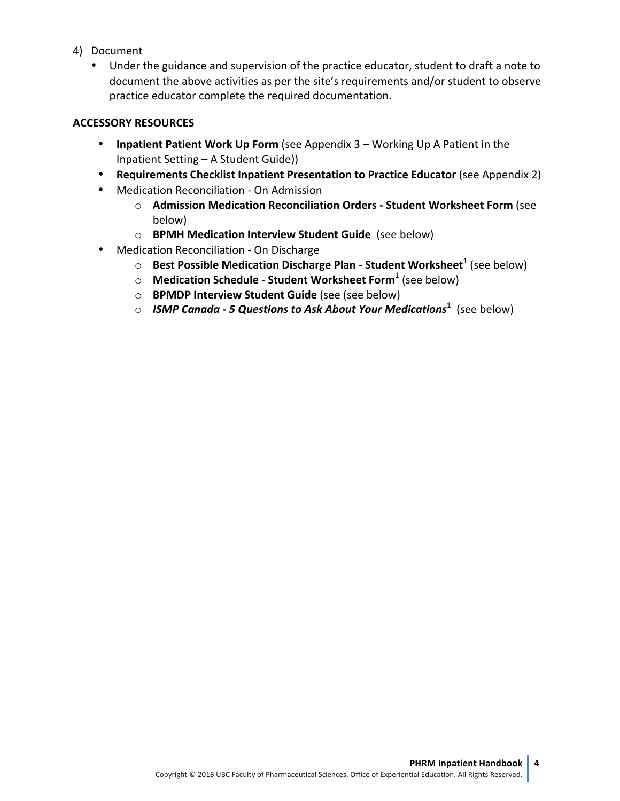- 4) Document
	- Under the guidance and supervision of the practice educator, student to draft a note to document the above activities as per the site's requirements and/or student to observe practice educator complete the required documentation.

### **ACCESSORY RESOURCES**

- **Inpatient Patient Work Up Form** (see Appendix 3 Working Up A Patient in the Inpatient Setting – A Student Guide))
- **Requirements Checklist Inpatient Presentation to Practice Educator** (see Appendix 2)
- Medication Reconciliation On Admission
	- o **Admission Medication Reconciliation Orders - Student Worksheet Form** (see below)
	- o **BPMH Medication Interview Student Guide** (see below)
- Medication Reconciliation On Discharge
	- **O** Best Possible Medication Discharge Plan Student Worksheet<sup>1</sup> (see below)
	- o **Medication Schedule - Student Worksheet Form**<sup>1</sup> (see below)
	- o **BPMDP Interview Student Guide** (see (see below)
	- $\circ$  *ISMP Canada 5 Questions to Ask About Your Medications***<sup>1</sup> (see below)**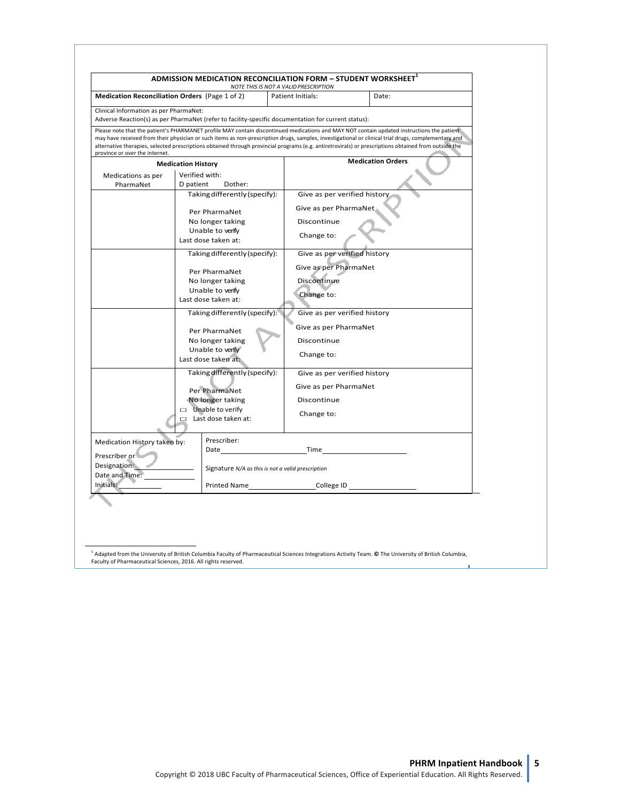| Medication Reconciliation Orders (Page 1 of 2) |                                                   | NOTE THIS IS NOT A VALID PRESCRIPTION<br>Patient Initials:<br>Date:                                                                                                                                                                                                                                                                                                                                                                                       |  |  |  |  |
|------------------------------------------------|---------------------------------------------------|-----------------------------------------------------------------------------------------------------------------------------------------------------------------------------------------------------------------------------------------------------------------------------------------------------------------------------------------------------------------------------------------------------------------------------------------------------------|--|--|--|--|
| Clinical Information as per PharmaNet:         |                                                   |                                                                                                                                                                                                                                                                                                                                                                                                                                                           |  |  |  |  |
|                                                |                                                   | Adverse Reaction(s) as per PharmaNet (refer to facility-specific documentation for current status):                                                                                                                                                                                                                                                                                                                                                       |  |  |  |  |
| province or over the internet.                 |                                                   | Please note that the patient's PHARMANET profile MAY contain discontinued medications and MAY NOT contain updated instructions the patient<br>may have received from their physician or such items as non-prescription drugs, samples, investigational or clinical trial drugs, complementary and<br>alternative therapies, selected prescriptions obtained through provincial programs (e.g. antiretrovirals) or prescriptions obtained from outside the |  |  |  |  |
|                                                | <b>Medication History</b>                         | <b>Medication Orders</b>                                                                                                                                                                                                                                                                                                                                                                                                                                  |  |  |  |  |
| Medications as per                             | Verified with:                                    |                                                                                                                                                                                                                                                                                                                                                                                                                                                           |  |  |  |  |
| PharmaNet                                      | D patient<br>Dother:                              |                                                                                                                                                                                                                                                                                                                                                                                                                                                           |  |  |  |  |
|                                                | Taking differently (specify):                     | Give as per verified history                                                                                                                                                                                                                                                                                                                                                                                                                              |  |  |  |  |
|                                                | Per PharmaNet                                     | Give as per PharmaNet                                                                                                                                                                                                                                                                                                                                                                                                                                     |  |  |  |  |
|                                                | No longer taking                                  | Discontinue<br>Change to:                                                                                                                                                                                                                                                                                                                                                                                                                                 |  |  |  |  |
|                                                | Unable to verify                                  |                                                                                                                                                                                                                                                                                                                                                                                                                                                           |  |  |  |  |
|                                                | Last dose taken at:                               |                                                                                                                                                                                                                                                                                                                                                                                                                                                           |  |  |  |  |
|                                                | Taking differently (specify):                     | Give as per verified history                                                                                                                                                                                                                                                                                                                                                                                                                              |  |  |  |  |
|                                                | Per PharmaNet                                     | Give as per PharmaNet                                                                                                                                                                                                                                                                                                                                                                                                                                     |  |  |  |  |
|                                                | No longer taking                                  | Discontinue                                                                                                                                                                                                                                                                                                                                                                                                                                               |  |  |  |  |
|                                                | Unable to verify                                  | Change to:                                                                                                                                                                                                                                                                                                                                                                                                                                                |  |  |  |  |
|                                                | Last dose taken at:                               |                                                                                                                                                                                                                                                                                                                                                                                                                                                           |  |  |  |  |
|                                                | Taking differently (specify):                     | Give as per verified history                                                                                                                                                                                                                                                                                                                                                                                                                              |  |  |  |  |
|                                                |                                                   | Give as per PharmaNet                                                                                                                                                                                                                                                                                                                                                                                                                                     |  |  |  |  |
|                                                | Per PharmaNet<br>No longer taking                 | Discontinue                                                                                                                                                                                                                                                                                                                                                                                                                                               |  |  |  |  |
|                                                | Unable to verify                                  |                                                                                                                                                                                                                                                                                                                                                                                                                                                           |  |  |  |  |
|                                                | Last dose taken at:                               | Change to:                                                                                                                                                                                                                                                                                                                                                                                                                                                |  |  |  |  |
|                                                | Taking differently (specify):                     | Give as per verified history                                                                                                                                                                                                                                                                                                                                                                                                                              |  |  |  |  |
|                                                |                                                   | Give as per PharmaNet                                                                                                                                                                                                                                                                                                                                                                                                                                     |  |  |  |  |
|                                                | Per PharmaNet<br>No longer taking                 | Discontinue                                                                                                                                                                                                                                                                                                                                                                                                                                               |  |  |  |  |
|                                                | $\Box$ Unable to verify                           |                                                                                                                                                                                                                                                                                                                                                                                                                                                           |  |  |  |  |
|                                                | $\Box$ Last dose taken at:                        | Change to:                                                                                                                                                                                                                                                                                                                                                                                                                                                |  |  |  |  |
|                                                |                                                   |                                                                                                                                                                                                                                                                                                                                                                                                                                                           |  |  |  |  |
| Medication History taken by:                   | Prescriber:                                       |                                                                                                                                                                                                                                                                                                                                                                                                                                                           |  |  |  |  |
| Prescriber or                                  | Date                                              | Time                                                                                                                                                                                                                                                                                                                                                                                                                                                      |  |  |  |  |
| Designation:<br>Date and Time:                 | Signature N/A as this is not a valid prescription |                                                                                                                                                                                                                                                                                                                                                                                                                                                           |  |  |  |  |
| Initials:                                      | Printed Name                                      | College ID                                                                                                                                                                                                                                                                                                                                                                                                                                                |  |  |  |  |
|                                                |                                                   |                                                                                                                                                                                                                                                                                                                                                                                                                                                           |  |  |  |  |

<sup>1</sup> Adapted from the University of British Columbia Faculty of Pharmaceutical Sciences Integrations Activity Team. © The University of British Columbia,<br>Faculty of Pharmaceutical Sciences, 2016. All rights reserved.

1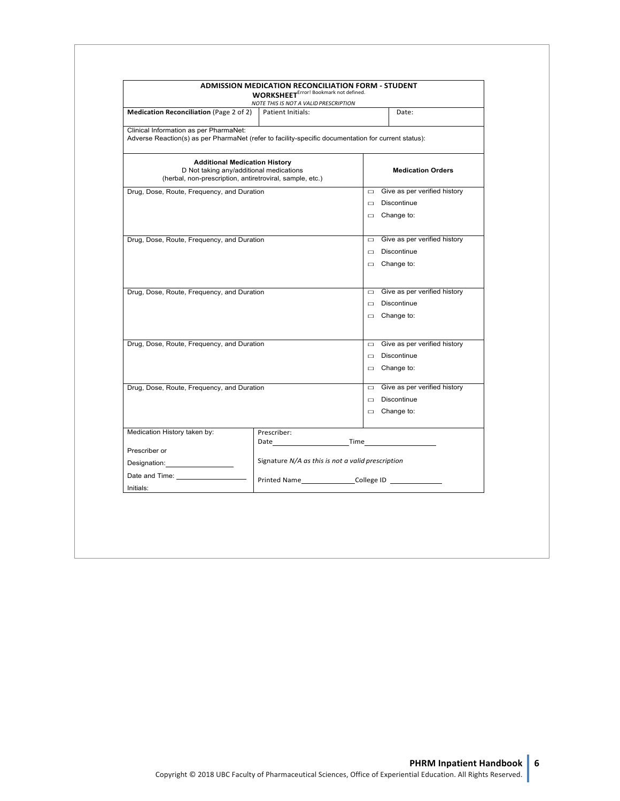|                                                                                                                                               | <b>ADMISSION MEDICATION RECONCILIATION FORM - STUDENT</b><br><b>WORKSHEET</b> <sup>Error! Bookmark not defined.</sup>                       |                                     |  |  |  |  |
|-----------------------------------------------------------------------------------------------------------------------------------------------|---------------------------------------------------------------------------------------------------------------------------------------------|-------------------------------------|--|--|--|--|
|                                                                                                                                               | NOTE THIS IS NOT A VALID PRESCRIPTION                                                                                                       |                                     |  |  |  |  |
| <b>Medication Reconciliation (Page 2 of 2)</b>                                                                                                | Patient Initials:<br>Date:                                                                                                                  |                                     |  |  |  |  |
| Clinical Information as per PharmaNet:<br>Adverse Reaction(s) as per PharmaNet (refer to facility-specific documentation for current status): |                                                                                                                                             |                                     |  |  |  |  |
|                                                                                                                                               | <b>Additional Medication History</b><br>D Not taking any/additional medications<br>(herbal, non-prescription, antiretroviral, sample, etc.) | <b>Medication Orders</b>            |  |  |  |  |
| Drug, Dose, Route, Frequency, and Duration                                                                                                    | Give as per verified history<br>$\Box$                                                                                                      |                                     |  |  |  |  |
|                                                                                                                                               |                                                                                                                                             | Discontinue<br>$\Box$               |  |  |  |  |
|                                                                                                                                               |                                                                                                                                             | $\Box$ Change to:                   |  |  |  |  |
| Drug, Dose, Route, Frequency, and Duration                                                                                                    |                                                                                                                                             | $\Box$ Give as per verified history |  |  |  |  |
|                                                                                                                                               |                                                                                                                                             | $\Box$ Discontinue                  |  |  |  |  |
|                                                                                                                                               |                                                                                                                                             | $\Box$ Change to:                   |  |  |  |  |
|                                                                                                                                               |                                                                                                                                             |                                     |  |  |  |  |
| Drug, Dose, Route, Frequency, and Duration                                                                                                    |                                                                                                                                             | $\Box$ Give as per verified history |  |  |  |  |
|                                                                                                                                               |                                                                                                                                             | $\Box$ Discontinue                  |  |  |  |  |
|                                                                                                                                               |                                                                                                                                             | $\Box$ Change to:                   |  |  |  |  |
| Drug, Dose, Route, Frequency, and Duration                                                                                                    |                                                                                                                                             | $\Box$ Give as per verified history |  |  |  |  |
|                                                                                                                                               |                                                                                                                                             | $\Box$ Discontinue                  |  |  |  |  |
|                                                                                                                                               |                                                                                                                                             |                                     |  |  |  |  |
|                                                                                                                                               |                                                                                                                                             | $\Box$ Change to:                   |  |  |  |  |
| Drug, Dose, Route, Frequency, and Duration                                                                                                    |                                                                                                                                             | $\Box$ Give as per verified history |  |  |  |  |
|                                                                                                                                               |                                                                                                                                             | $\Box$ Discontinue                  |  |  |  |  |
|                                                                                                                                               |                                                                                                                                             | $\Box$ Change to:                   |  |  |  |  |
| Medication History taken by:                                                                                                                  | Prescriber:                                                                                                                                 |                                     |  |  |  |  |
|                                                                                                                                               |                                                                                                                                             | Date Time                           |  |  |  |  |
| Prescriber or                                                                                                                                 | Signature N/A as this is not a valid prescription                                                                                           |                                     |  |  |  |  |
| Designation: Designation:                                                                                                                     |                                                                                                                                             |                                     |  |  |  |  |
| Date and Time:                                                                                                                                |                                                                                                                                             | Printed Name College ID             |  |  |  |  |
| Initials:                                                                                                                                     |                                                                                                                                             |                                     |  |  |  |  |

1

**PHRM Inpatient Handbook**<br>© Copyright 2018 UBC Faculty of Pharmaceutical Sciences, Office of Experiential Education. All Rights Reserved.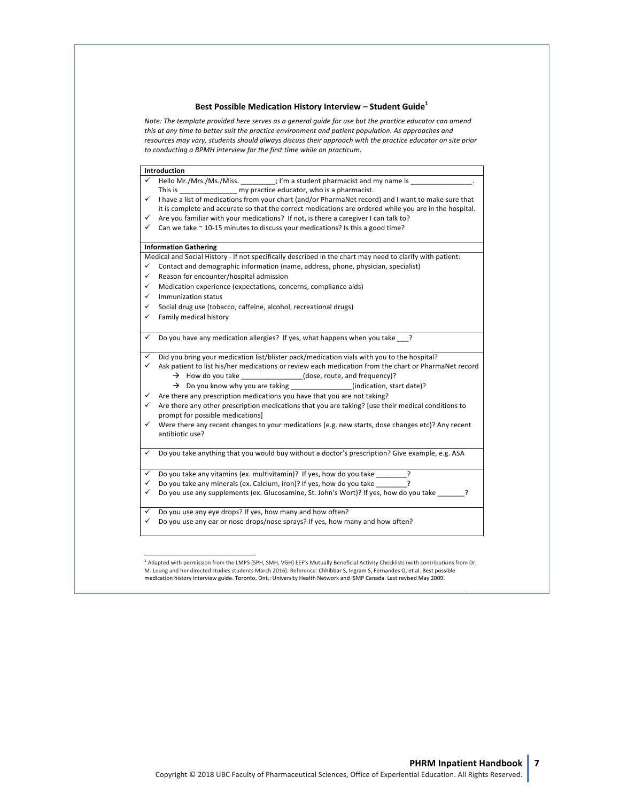#### Best Possible Medication History Interview - Student Guide<sup>1</sup>

Note: The template provided here serves as a general guide for use but the practice educator can amend this at any time to better suit the practice environment and patient population. As approaches and resources may vary, students should always discuss their approach with the practice educator on site prior *to conducting a BPMH interview for the first time while on practicum.*

|              | Introduction                                                                                                                           |
|--------------|----------------------------------------------------------------------------------------------------------------------------------------|
| $\checkmark$ | Hello Mr./Mrs./Ms./Miss. _________; I'm a student pharmacist and my name is ___                                                        |
|              |                                                                                                                                        |
| ✓            | I have a list of medications from your chart (and/or PharmaNet record) and I want to make sure that                                    |
|              | it is complete and accurate so that the correct medications are ordered while you are in the hospital.                                 |
| ✓            | Are you familiar with your medications? If not, is there a caregiver I can talk to?                                                    |
| ✓            | Can we take ~ 10-15 minutes to discuss your medications? Is this a good time?                                                          |
|              | <b>Information Gathering</b>                                                                                                           |
|              | Medical and Social History - if not specifically described in the chart may need to clarify with patient:                              |
| ✓            | Contact and demographic information (name, address, phone, physician, specialist)                                                      |
| ✓            | Reason for encounter/hospital admission                                                                                                |
| ✓            | Medication experience (expectations, concerns, compliance aids)                                                                        |
| ✓            | Immunization status                                                                                                                    |
| ✓            | Social drug use (tobacco, caffeine, alcohol, recreational drugs)                                                                       |
| ✓            | Family medical history                                                                                                                 |
| ✓            | Do you have any medication allergies? If yes, what happens when you take ?                                                             |
| ✓            | Did you bring your medication list/blister pack/medication vials with you to the hospital?                                             |
| ✓            | Ask patient to list his/her medications or review each medication from the chart or PharmaNet record                                   |
|              | $\rightarrow$ How do you take _______________(dose, route, and frequency)?                                                             |
|              | $\rightarrow$ Do you know why you are taking _______________(indication, start date)?                                                  |
| ✓            | Are there any prescription medications you have that you are not taking?                                                               |
| $\checkmark$ | Are there any other prescription medications that you are taking? [use their medical conditions to<br>prompt for possible medications] |
| $\checkmark$ | Were there any recent changes to your medications (e.g. new starts, dose changes etc)? Any recent                                      |
|              | antibiotic use?                                                                                                                        |
| $\checkmark$ | Do you take anything that you would buy without a doctor's prescription? Give example, e.g. ASA                                        |
| ✓            | Do you take any vitamins (ex. multivitamin)? If yes, how do you take _______?                                                          |
| ✓            | Do you take any minerals (ex. Calcium, iron)? If yes, how do you take<br>ς                                                             |
| ✓            | Do you use any supplements (ex. Glucosamine, St. John's Wort)? If yes, how do you take ?                                               |
| ✓            | Do you use any eye drops? If yes, how many and how often?                                                                              |
| ✓            | Do you use any ear or nose drops/nose sprays? If yes, how many and how often?                                                          |

<sup>1</sup> Adapted with permission from the LMPS (SPH, SMH, VGH) EEF's Mutually Beneficial Activity Checklists (with contributions from Dr. M. Leung and her directed studies students March 2016). Reference: Chhibbar S, Ingram S, Fernandes O, et al. Best possible<br>medication history interview guide. Toronto, Ont.: University Health Network and ISMP Canada. Last

> **PHRM Inpatient Handbook 1** ©Copyright 2018 UBC Faculty of Pharmaceutical Sciences, Office of Experiential Education. All Rights Reserved.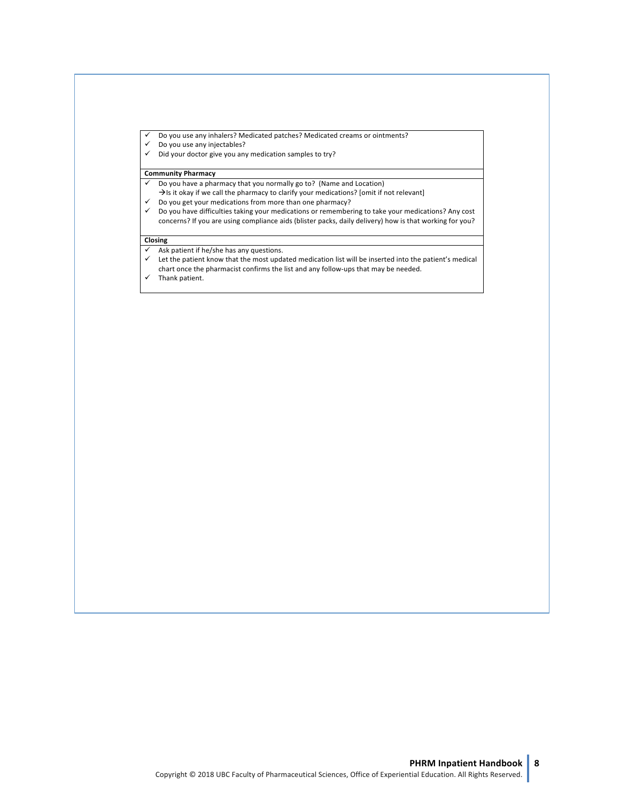- $\checkmark$  Do you use any inhalers? Medicated patches? Medicated creams or ointments?<br> $\checkmark$  Do you use any injectables?
- Do you use any injectables?
- $\checkmark$  Did your doctor give you any medication samples to try?

#### **Community Pharmacy**

- $\checkmark$  Do you have a pharmacy that you normally go to? (Name and Location)
	- $\rightarrow$ Is it okay if we call the pharmacy to clarify your medications? [omit if not relevant]
- $\checkmark$  Do you get your medications from more than one pharmacy?
- $\checkmark$  Do you have difficulties taking your medications or remembering to take your medications? Any cost concerns? If you are using compliance aids (blister packs, daily delivery) how is that working for you?

#### **Closing**

- $\checkmark$  Ask patient if he/she has any questions.
- $\checkmark$  Let the patient know that the most updated medication list will be inserted into the patient's medical
- chart once the pharmacist confirms the list and any follow-ups that may be needed.
- $\checkmark$  Thank patient.

**PHRM Inpatient Handbook** 1 ©Copyright 2018 UBC Faculty of Pharmaceutical Sciences, Office of Experiential Education. All Rights Reserved.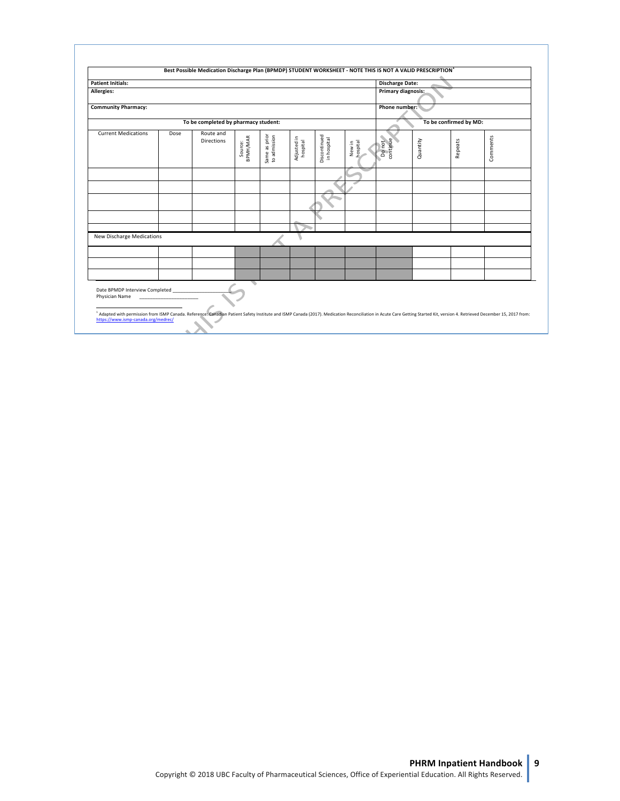| <b>Patient Initials:</b>                                                                                                                                                                                                                                                                                                                |      |                                      |                     |                               |                         |                             |                    | <b>Discharge Date:</b> |          |                        |          |
|-----------------------------------------------------------------------------------------------------------------------------------------------------------------------------------------------------------------------------------------------------------------------------------------------------------------------------------------|------|--------------------------------------|---------------------|-------------------------------|-------------------------|-----------------------------|--------------------|------------------------|----------|------------------------|----------|
| Allergies:                                                                                                                                                                                                                                                                                                                              |      |                                      |                     |                               |                         |                             | Primary diagnosis: |                        |          |                        |          |
| <b>Community Pharmacy:</b>                                                                                                                                                                                                                                                                                                              |      |                                      |                     |                               |                         |                             |                    | Phone number:          |          |                        |          |
|                                                                                                                                                                                                                                                                                                                                         |      | To be completed by pharmacy student: |                     |                               |                         |                             |                    |                        |          | To be confirmed by MD: |          |
| <b>Current Medications</b>                                                                                                                                                                                                                                                                                                              | Dose | Route and<br><b>Directions</b>       | BPMH/MAR<br>Source: | Same as prior<br>to admission | Adjusted in<br>hospital | Discontinued<br>in hospital | New in<br>hospital | Do not<br>continue     | Quantity | Repeats                | Comments |
|                                                                                                                                                                                                                                                                                                                                         |      |                                      |                     |                               |                         |                             |                    |                        |          |                        |          |
|                                                                                                                                                                                                                                                                                                                                         |      |                                      |                     |                               |                         |                             |                    |                        |          |                        |          |
|                                                                                                                                                                                                                                                                                                                                         |      |                                      |                     |                               |                         |                             |                    |                        |          |                        |          |
| <b>New Discharge Medications</b>                                                                                                                                                                                                                                                                                                        |      |                                      |                     |                               |                         |                             |                    |                        |          |                        |          |
|                                                                                                                                                                                                                                                                                                                                         |      |                                      |                     |                               |                         |                             |                    |                        |          |                        |          |
|                                                                                                                                                                                                                                                                                                                                         |      |                                      |                     |                               |                         |                             |                    |                        |          |                        |          |
| Date BPMDP Interview Completed ______<br>Physician Name<br><sup>1</sup> Adapted with permission from ISMP Canada. Reference: Canadian Patient Safety Institute and ISMP Canada (2017). Medication Reconciliation in Acute Care Getting Started Kit, version 4. Retrieved December 15, 2017 from:<br>https://www.ismp-canada.org/medrec/ |      |                                      |                     |                               |                         |                             |                    |                        |          |                        |          |

**PHRM Inpatient Handbook** 1<br>©Copyright 2018 UBC Faculty of Pharmaceutical Sciences, Office of Experiential Education. All Rights Reserved.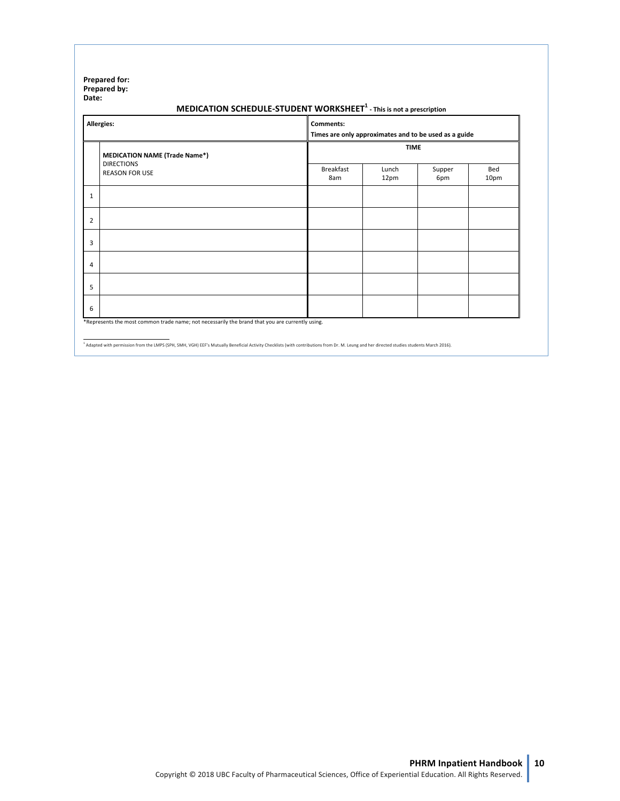#### **Prepared for: Prepared by: Date:**

#### **MEDICATION SCHEDULE-STUDENT WORKSHEET<sup>1</sup> - This is not a prescription**

|                | Allergies:                                                                                      |                         | Comments:<br>Times are only approximates and to be used as a guide |               |             |  |  |  |
|----------------|-------------------------------------------------------------------------------------------------|-------------------------|--------------------------------------------------------------------|---------------|-------------|--|--|--|
|                | <b>MEDICATION NAME (Trade Name*)</b>                                                            | <b>TIME</b>             |                                                                    |               |             |  |  |  |
|                | <b>DIRECTIONS</b><br><b>REASON FOR USE</b>                                                      | <b>Breakfast</b><br>8am | Lunch<br>12pm                                                      | Supper<br>6pm | Bed<br>10pm |  |  |  |
| $\mathbf{1}$   |                                                                                                 |                         |                                                                    |               |             |  |  |  |
| $\overline{2}$ |                                                                                                 |                         |                                                                    |               |             |  |  |  |
| 3              |                                                                                                 |                         |                                                                    |               |             |  |  |  |
| $\overline{4}$ |                                                                                                 |                         |                                                                    |               |             |  |  |  |
| 5              |                                                                                                 |                         |                                                                    |               |             |  |  |  |
| 6              |                                                                                                 |                         |                                                                    |               |             |  |  |  |
|                | *Represents the most common trade name; not necessarily the brand that you are currently using. |                         |                                                                    |               |             |  |  |  |

<sup>1</sup> Adapted with permission from the LMPS (SPH, SMH, VGH) EEF's Mutually Beneficial Activity Checklists (with contributions from Dr. M. Leung and her directed studies students March 2016).

**PHRM Inpatient Handbook 1**

©Copyright 2018 UBC Faculty of Pharmaceutical Sciences, Office of Experiential Education. All Rights Reserved.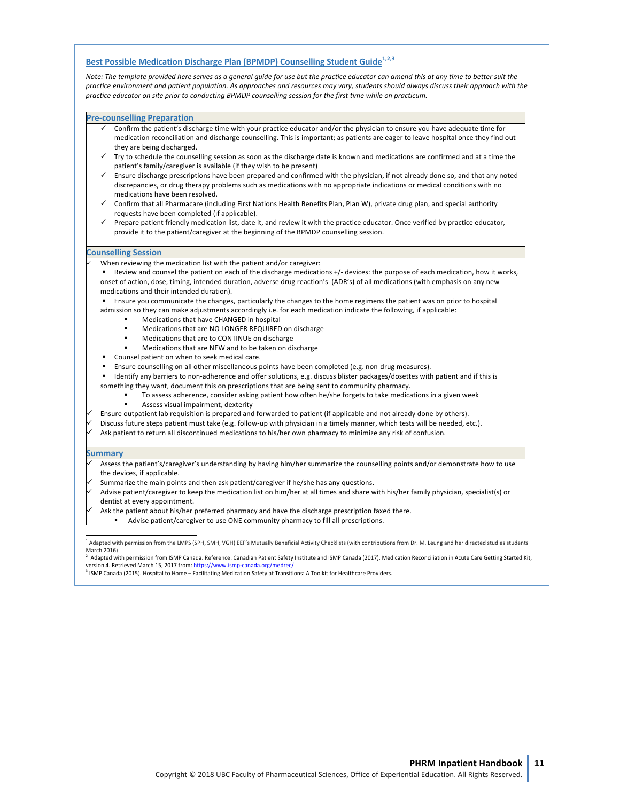### **Best Possible Medication Discharge Plan (BPMDP) Counselling Student Guide<sup>1,2,3</sup>**

Note: The template provided here serves as a general guide for use but the practice educator can amend this at any time to better suit the practice environment and patient population. As approaches and resources may vary, students should always discuss their approach with the *practice educator on site prior to conducting BPMDP counselling session for the first time while on practicum.* 

#### **Pre-counselling Preparation**

- Confirm the patient's discharge time with your practice educator and/or the physician to ensure you have adequate time for medication reconciliation and discharge counselling. This is important; as patients are eager to leave hospital once they find out they are being discharged.
- $\checkmark$  Try to schedule the counselling session as soon as the discharge date is known and medications are confirmed and at a time the patient's family/caregiver is available (if they wish to be present)
- Ensure discharge prescriptions have been prepared and confirmed with the physician, if not already done so, and that any noted discrepancies, or drug therapy problems such as medications with no appropriate indications or medical conditions with no medications have been resolved.
- Confirm that all Pharmacare (including First Nations Health Benefits Plan, Plan W), private drug plan, and special authority requests have been completed (if applicable).
- Prepare patient friendly medication list, date it, and review it with the practice educator. Once verified by practice educator, provide it to the patient/caregiver at the beginning of the BPMDP counselling session.

#### **Counselling Session**

- When reviewing the medication list with the patient and/or caregiver:
- Review and counsel the patient on each of the discharge medications +/- devices: the purpose of each medication, how it works, onset of action, dose, timing, intended duration, adverse drug reaction's (ADR's) of all medications (with emphasis on any new medications and their intended duration).

**Ensure you communicate the changes, particularly the changes to the home regimens the patient was on prior to hospital** 

- admission so they can make adjustments accordingly i.e. for each medication indicate the following, if applicable:
	- **■** Medications that have CHANGED in hospital
	- Medications that are NO LONGER REQUIRED on discharge
	- **■** Medications that are to CONTINUE on discharge
	- Medications that are NEW and to be taken on discharge
- Counsel patient on when to seek medical care.
- Ensure counselling on all other miscellaneous points have been completed (e.g. non-drug measures).
- Identify any barriers to non-adherence and offer solutions, e.g. discuss blister packages/dosettes with patient and if this is
- something they want, document this on prescriptions that are being sent to community pharmacy.
	- To assess adherence, consider asking patient how often he/she forgets to take medications in a given week Assess visual impairment, dexterity
		-
- Ensure outpatient lab requisition is prepared and forwarded to patient (if applicable and not already done by others).
- Discuss future steps patient must take (e.g. follow-up with physician in a timely manner, which tests will be needed, etc.).
- Ask patient to return all discontinued medications to his/her own pharmacy to minimize any risk of confusion.

#### **Summary**

- Assess the patient's/caregiver's understanding by having him/her summarize the counselling points and/or demonstrate how to use the devices, if applicable.
- Summarize the main points and then ask patient/caregiver if he/she has any questions.
- Advise patient/caregiver to keep the medication list on him/her at all times and share with his/her family physician, specialist(s) or dentist at every appointment.
- Ask the patient about his/her preferred pharmacy and have the discharge prescription faxed there.
- Advise patient/caregiver to use ONE community pharmacy to fill all prescriptions.

<sup>2</sup> Adapted with permission from ISMP Canada. Reference: Canadian Patient Safety Institute and ISMP Canada (2017). Medication Reconciliation in Acute Care Getting Started Kit, version 4. Retrieved March 15, 2017 from: https://www.ismp

<sup>3</sup> ISMP Canada (2015). Hospital to Home – Facilitating Medication Safety at Transitions: A Toolkit for Healthcare Providers.

**PHRM Inpatient Handbook 1**

©Copyright 2018 UBC Faculty of Pharmaceutical Sciences, Office of Experiential Education. All Rights Reserved.

<sup>&</sup>lt;sup>1</sup> Adapted with permission from the LMPS (SPH, SMH, VGH) EEF's Mutually Beneficial Activity Checklists (with contributions from Dr. M. Leung and her directed studies students March 2016)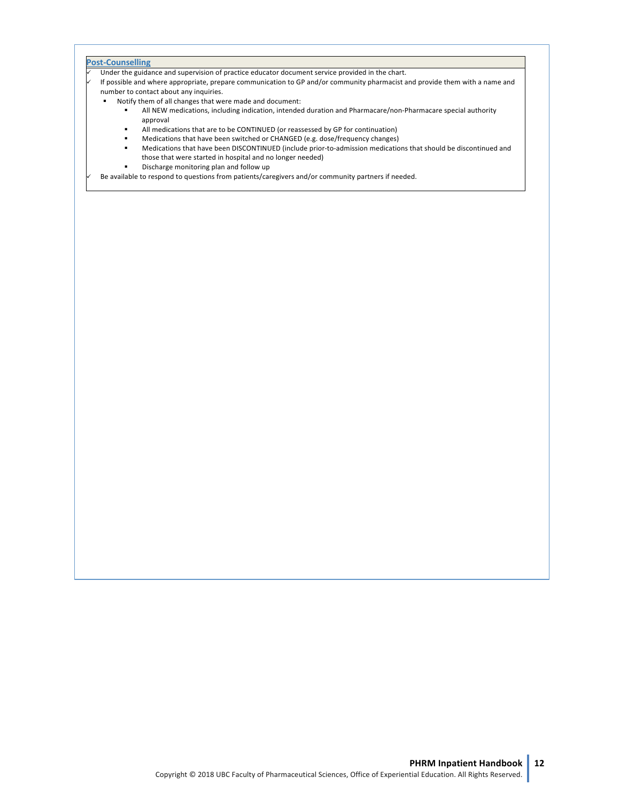#### **Post-Counselling**

Under the guidance and supervision of practice educator document service provided in the chart.

If possible and where appropriate, prepare communication to GP and/or community pharmacist and provide them with a name and number to contact about any inquiries.

- Notify them of all changes that were made and document:
	- All NEW medications, including indication, intended duration and Pharmacare/non-Pharmacare special authority approval
	- All medications that are to be CONTINUED (or reassessed by GP for continuation)
	- Medications that have been switched or CHANGED (e.g. dose/frequency changes)
	- **■** Medications that have been DISCONTINUED (include prior-to-admission medications that should be discontinued and those that were started in hospital and no longer needed)
	- **■** Discharge monitoring plan and follow up

Be available to respond to questions from patients/caregivers and/or community partners if needed.

**PHRM Inpatient Handbook 1** ©Copyright 2018 UBC Faculty of Pharmaceutical Sciences, Office of Experiential Education. All Rights Reserved.